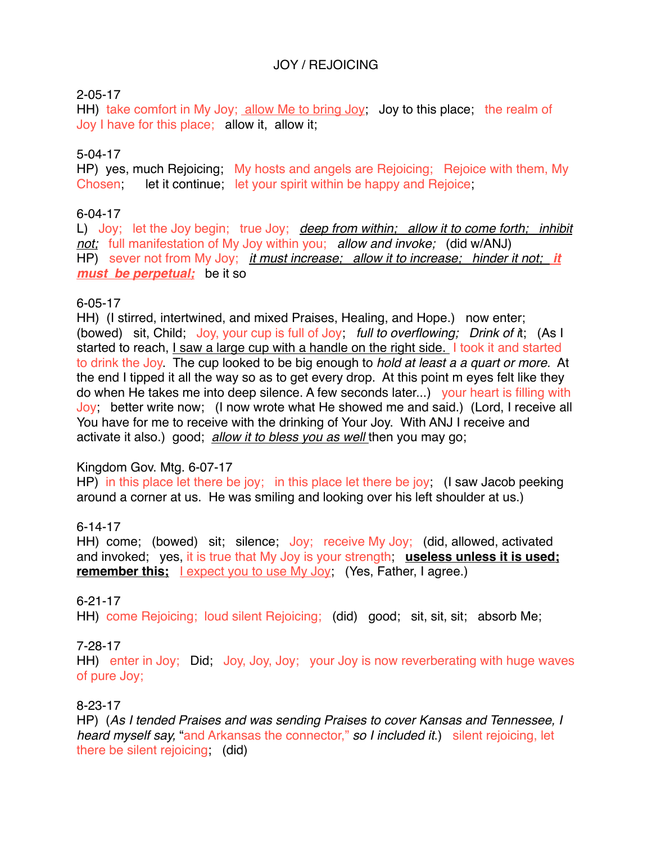# JOY / REJOICING

# 2-05-17

HH) take comfort in My Joy; allow Me to bring Joy; Joy to this place; the realm of Joy I have for this place; allow it, allow it;

# 5-04-17

HP) yes, much Rejoicing; My hosts and angels are Rejoicing; Rejoice with them, My Chosen; let it continue; let your spirit within be happy and Rejoice;

#### 6-04-17

L) Joy; let the Joy begin; true Joy; *deep from within; allow it to come forth; inhibit not;* full manifestation of My Joy within you; *allow and invoke;* (did w/ANJ) HP) sever not from My Joy; *it must increase; allow it to increase; hinder it not; it must be perpetual;* be it so

#### 6-05-17

HH) (I stirred, intertwined, and mixed Praises, Healing, and Hope.) now enter; (bowed) sit, Child; Joy, your cup is full of Joy; *full to overflowing; Drink of i*t; (As I started to reach, I saw a large cup with a handle on the right side. I took it and started to drink the Joy. The cup looked to be big enough to *hold at least a a quart or more.* At the end I tipped it all the way so as to get every drop. At this point m eyes felt like they do when He takes me into deep silence. A few seconds later...) your heart is filling with Joy; better write now; (I now wrote what He showed me and said.) (Lord, I receive all You have for me to receive with the drinking of Your Joy. With ANJ I receive and activate it also.) good; *allow it to bless you as well* then you may go;

# Kingdom Gov. Mtg. 6-07-17

HP) in this place let there be joy; in this place let there be joy; (I saw Jacob peeking around a corner at us. He was smiling and looking over his left shoulder at us.)

# 6-14-17

HH) come; (bowed) sit; silence; Joy; receive My Joy; (did, allowed, activated and invoked; yes, it is true that My Joy is your strength; **useless unless it is used; remember this;** lexpect you to use My Joy; (Yes, Father, I agree.)

#### 6-21-17

HH) come Rejoicing; loud silent Rejoicing; (did) good; sit, sit, sit; absorb Me;

#### 7-28-17

HH) enter in Joy; Did; Joy, Joy, Joy; your Joy is now reverberating with huge waves of pure Joy;

#### 8-23-17

HP) (*As I tended Praises and was sending Praises to cover Kansas and Tennessee, I heard myself say,* "and Arkansas the connector," *so I included it*.) silent rejoicing, let there be silent rejoicing; (did)